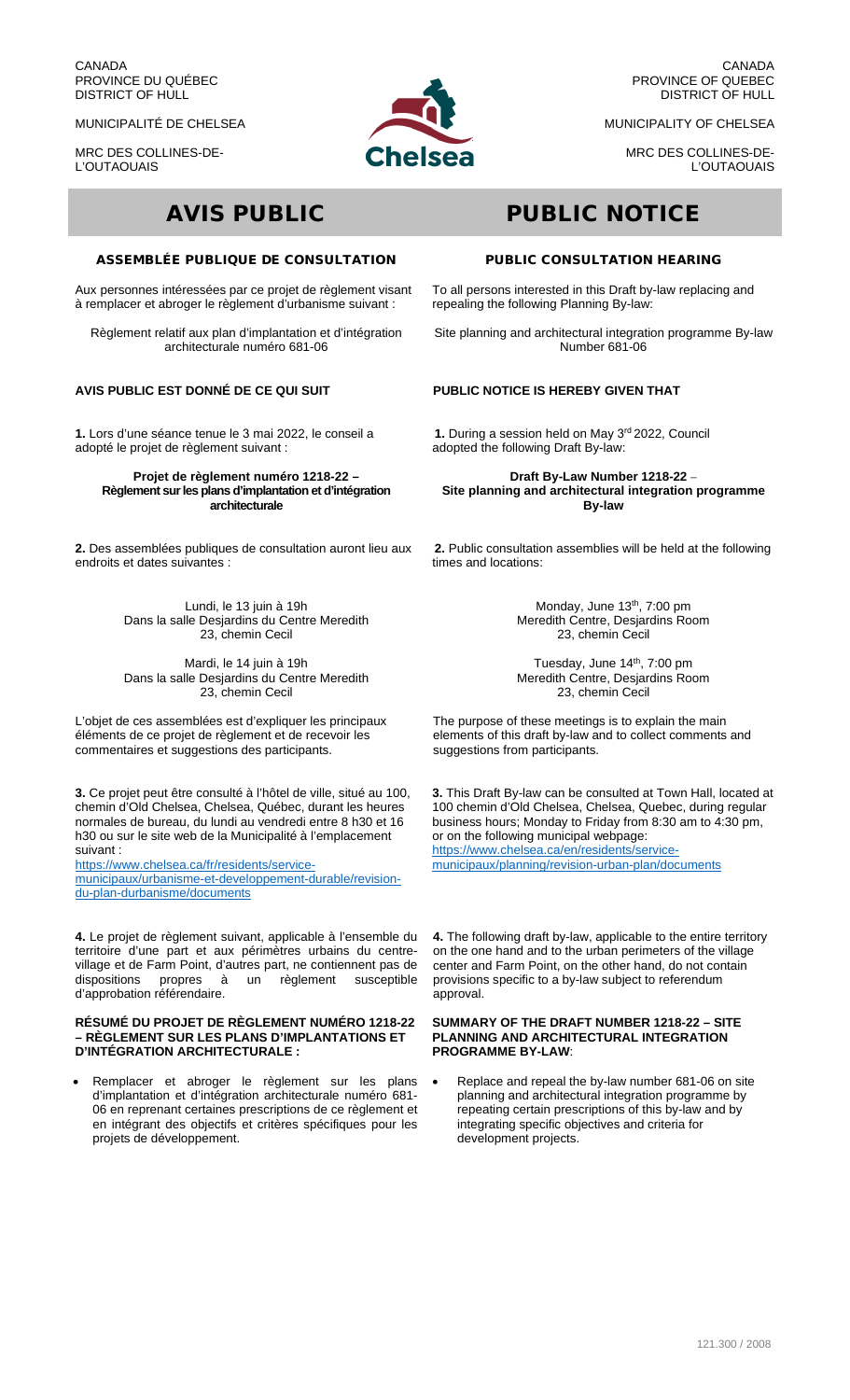CANADA PROVINCE DU QUÉBEC DISTRICT OF HULL

MUNICIPALITÉ DE CHELSEA

MRC DES COLLINES-DE-L'OUTAOUAIS



CANADA PROVINCE OF QUEBEC DISTRICT OF HULL

MUNICIPALITY OF CHELSEA

MRC DES COLLINES-DE-L'OUTAOUAIS

## ASSEMBLÉE PUBLIQUE DE CONSULTATION

Aux personnes intéressées par ce projet de règlement visant à remplacer et abroger le règlement d'urbanisme suivant :

Règlement relatif aux plan d'implantation et d'intégration architecturale numéro 681-06

# **AVIS PUBLIC EST DONNÉ DE CE QUI SUIT**

**1.** Lors d'une séance tenue le 3 mai 2022, le conseil a adopté le projet de règlement suivant :

#### **Projet de règlement numéro 1218-22 – Règlement sur les plans d'implantation et d'intégration architecturale**

**2.** Des assemblées publiques de consultation auront lieu aux endroits et dates suivantes :

> Lundi, le 13 juin à 19h Dans la salle Desjardins du Centre Meredith 23, chemin Cecil

> Mardi, le 14 juin à 19h Dans la salle Desjardins du Centre Meredith 23, chemin Cecil

L'objet de ces assemblées est d'expliquer les principaux éléments de ce projet de règlement et de recevoir les commentaires et suggestions des participants.

**3.** Ce projet peut être consulté à l'hôtel de ville, situé au 100, chemin d'Old Chelsea, Chelsea, Québec, durant les heures normales de bureau, du lundi au vendredi entre 8 h30 et 16 h30 ou sur le site web de la Municipalité à l'emplacement suivant :

[https://www.chelsea.ca/fr/residents/service](https://www.chelsea.ca/fr/residents/service-municipaux/urbanisme-et-developpement-durable/revision-du-plan-durbanisme/documents)[municipaux/urbanisme-et-developpement-durable/revision](https://www.chelsea.ca/fr/residents/service-municipaux/urbanisme-et-developpement-durable/revision-du-plan-durbanisme/documents)[du-plan-durbanisme/documents](https://www.chelsea.ca/fr/residents/service-municipaux/urbanisme-et-developpement-durable/revision-du-plan-durbanisme/documents)

**4.** Le projet de règlement suivant, applicable à l'ensemble du territoire d'une part et aux périmètres urbains du centrevillage et de Farm Point, d'autres part, ne contiennent pas de<br>dispositions propres à un règlement susceptible dispositions propres à un règlement susceptible d'approbation référendaire.

#### **RÉSUMÉ DU PROJET DE RÈGLEMENT NUMÉRO 1218-22 – RÈGLEMENT SUR LES PLANS D'IMPLANTATIONS ET D'INTÉGRATION ARCHITECTURALE :**

Remplacer et abroger le règlement sur les plans d'implantation et d'intégration architecturale numéro 681- 06 en reprenant certaines prescriptions de ce règlement et en intégrant des objectifs et critères spécifiques pour les projets de développement.

# AVIS PUBLIC PUBLIC NOTICE

#### PUBLIC CONSULTATION HEARING

To all persons interested in this Draft by-law replacing and repealing the following Planning By-law:

Site planning and architectural integration programme By-law Number 681-06

## **PUBLIC NOTICE IS HEREBY GIVEN THAT**

**1.** During a session held on May 3<sup>rd</sup> 2022, Council adopted the following Draft By-law:

**Draft By-Law Number 1218-22** – **Site planning and architectural integration programme By-law**

**2.** Public consultation assemblies will be held at the following times and locations:

> Monday, June 13<sup>th</sup>, 7:00 pm Meredith Centre, Desjardins Room 23, chemin Cecil

> Tuesday, June 14th, 7:00 pm Meredith Centre, Desjardins Room 23, chemin Cecil

The purpose of these meetings is to explain the main elements of this draft by-law and to collect comments and suggestions from participants.

**3.** This Draft By-law can be consulted at Town Hall, located at 100 chemin d'Old Chelsea, Chelsea, Quebec, during regular business hours; Monday to Friday from 8:30 am to 4:30 pm, or on the following municipal webpage: [https://www.chelsea.ca/en/residents/service](https://www.chelsea.ca/en/residents/service-municipaux/planning/revision-urban-plan/documents)[municipaux/planning/revision-urban-plan/documents](https://www.chelsea.ca/en/residents/service-municipaux/planning/revision-urban-plan/documents)

**4.** The following draft by-law, applicable to the entire territory on the one hand and to the urban perimeters of the village center and Farm Point, on the other hand, do not contain provisions specific to a by-law subject to referendum approval.

#### **SUMMARY OF THE DRAFT NUMBER 1218-22 – SITE PLANNING AND ARCHITECTURAL INTEGRATION PROGRAMME BY-LAW**:

• Replace and repeal the by-law number 681-06 on site planning and architectural integration programme by repeating certain prescriptions of this by-law and by integrating specific objectives and criteria for development projects.